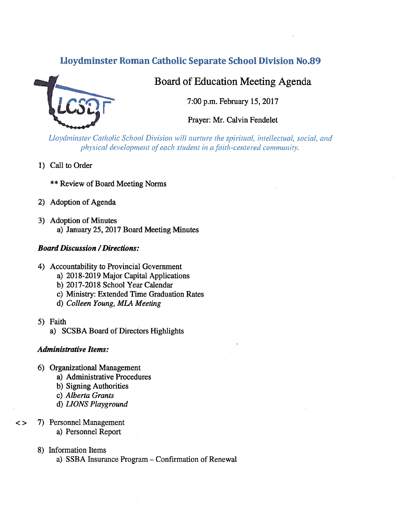# Lloydminster Roman Catholic Separate School Division No.89



# Board of Education Meeting Agenda

7:00 p.m. February 15,2017

Prayer: Mr. Calvin Fendelet

Lloydminster Catholic School Division will nurture the spiritual, intellectual, social, and physical development of each student in a faith-centered community.

- 1) Call to Order
	- \*\* Review of Board Meeting Norms
- 2) Adoption of Agenda
- 3) Adoption of Minutes a) January 25, 2017 Board Meeting Minutes

## Board Discussion /Directions:

- 4) Accountability to Provincial Government
	- a) 2018-2019 Major Capital Applications
	- b) 2017-2018 School Year Calendar
	- c) Ministry: Extended Time Graduation Rates
	- d) Colleen Young, MLA Meeting
- 5) Faith
	- a) SCSBA Board of Directors Highlights

### Administrative Items:

- 6) Organizational Management
	- a) Administrative Procedures
	- b) Signing Authorities
	- c) Alberta Grants
	- d) LIONS Playground
- <> 7) Personnel Management
	- a) Personnel Report
	- 8) Information Items
		- a) SSBA Insurance Program Confirmation of Renewal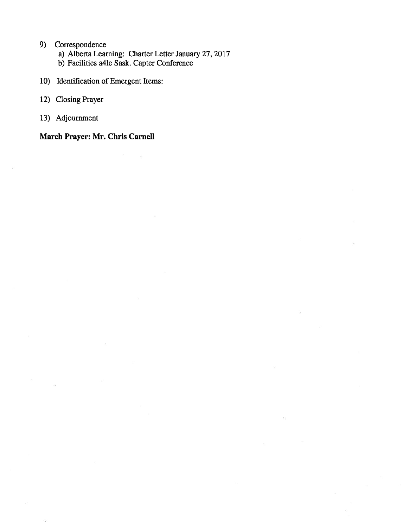- 9) Correspondence
	- a) Alberta Learning: Charter Letter January 27, 2017
	- b) Facilities a4le Sask. Capter Conference
- 10) Identification of Emergent Items:
- 12) Closing Prayer
- 13) Adjournment

March Prayer: Mr. Chris Carnell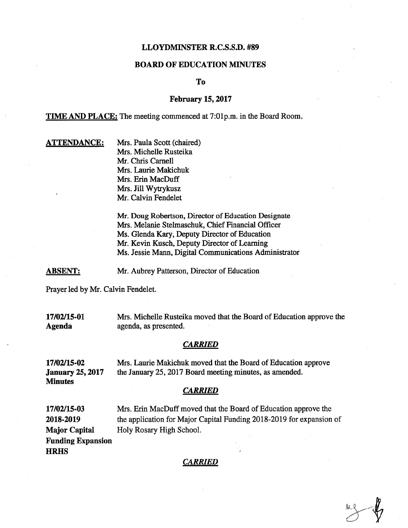### LLOYDMINSTER R.C.S.S.D. #89

## BOARD OF EDUCATION MINUTES

To

### February 15,2017

TIME AND PLACE: The meeting commenced at 7:01p.m. in the Board Room.

**ATTENDANCE:** Mrs. Paula Scott (chaired) Mrs. Michelle Rusteika Mr. Chris Carnell Mrs. Laurie Makichuk Mrs. Erin MacDuff Mrs. Jill Wytrykusz Mr. Calvin Fendelet

> Mr. Doug Robertson, Director of Education Designate Mrs. Melanie Stelmaschuk, Chief Financial Officer Ms. Glenda Kary, Deputy Director of Education Mr. Kevin Kusch, Deputy Director of Learning Ms. Jessie Mann, Digital Communications Administrator

ABSENT: Mr. Aubrey Patterson, Director of Education

Prayer led by Mr. Calvin Fendelet.

17/02/15-01 Mrs. Michelle Rusteika moved that the Board of Education approve the Agenda agenda, as presented.

## **CARRIED**

17/02/15-02 Mrs. Laurie Makichuk moved that the Board of Education approve **January 25, 2017** the January 25, 2017 Board meeting minutes, as amended. **Minutes** 

### **CARRIED**

17/02/15-03 Mrs. Erin MacDuff moved that the Board of Education approve the 2018-2019 the application for Major Capital Funding 2018-2019 for expansion of Major Capital Holy Rosary High School. Funding Expansion **HRHS** 

### CARRIED